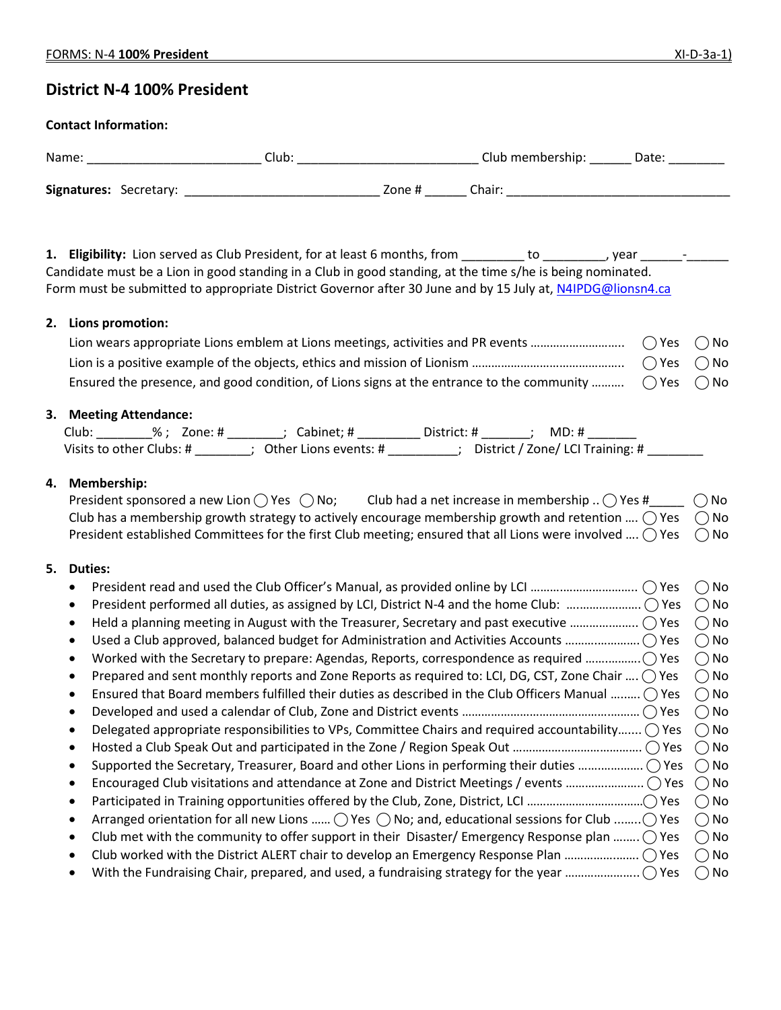# **District N-4 100% President**

#### **Contact Information:**

| Name:                  |  | Club. |        | Club membership: | Date: |
|------------------------|--|-------|--------|------------------|-------|
| Signatures: Secretary: |  |       | Zone # | Chair:           |       |

1. **Eligibility:** Lion served as Club President, for at least 6 months, from \_\_\_\_\_\_\_\_ to \_\_\_\_\_\_\_\_, year \_\_\_\_\_\_-\_\_ Candidate must be a Lion in good standing in a Club in good standing, at the time s/he is being nominated. Form must be submitted to appropriate District Governor after 30 June and by 15 July at[, N4IPDG@lionsn4.ca](mailto:N4IPDG@lionsn4.ca)

#### **2. Lions promotion:**

| Ensured the presence, and good condition, of Lions signs at the entrance to the community $\bigcirc$ Yes $\bigcirc$ No |  |
|------------------------------------------------------------------------------------------------------------------------|--|

# **3. Meeting Attendance:**

| Club:                    | %: Zone:# | Cabinet: #            | District: # | MD: #                            |  |
|--------------------------|-----------|-----------------------|-------------|----------------------------------|--|
| Visits to other Clubs: # |           | Other Lions events: # |             | District / Zone/ LCI Training: # |  |

# **4. Membership:**

| President sponsored a new Lion $\bigcap$ Yes $\bigcap$ No; | Club had a net increase in membership $\therefore$ $\bigcap$ Yes #                                                             | $\bigcirc$ No |
|------------------------------------------------------------|--------------------------------------------------------------------------------------------------------------------------------|---------------|
|                                                            | Club has a membership growth strategy to actively encourage membership growth and retention $\bigcirc$ Yes $\bigcirc$ No       |               |
|                                                            | President established Committees for the first Club meeting; ensured that all Lions were involved $\bigcirc$ Yes $\bigcirc$ No |               |

#### **5. Duties:**

|           |                                                                                                                        | <b>No</b> |
|-----------|------------------------------------------------------------------------------------------------------------------------|-----------|
| $\bullet$ |                                                                                                                        | ∩No       |
|           |                                                                                                                        | ( ) No    |
|           |                                                                                                                        | ( ) No    |
| $\bullet$ |                                                                                                                        | ( ) No    |
|           | Prepared and sent monthly reports and Zone Reports as required to: LCI, DG, CST, Zone Chair $\bigcirc$ Yes             | ()No      |
|           | Ensured that Board members fulfilled their duties as described in the Club Officers Manual $\bigcirc$ Yes              | ()No      |
| $\bullet$ |                                                                                                                        | ( ) No    |
|           | Delegated appropriate responsibilities to VPs, Committee Chairs and required accountability () Yes                     | $()$ No   |
| $\bullet$ |                                                                                                                        | $()$ No   |
| $\bullet$ | Supported the Secretary, Treasurer, Board and other Lions in performing their duties  () Yes                           | ( ) No    |
| ٠         |                                                                                                                        | $()$ No   |
|           |                                                                                                                        | ( ) No    |
|           | Arranged orientation for all new Lions $\bigcirc$ Yes $\bigcirc$ No; and, educational sessions for Club $\bigcirc$ Yes | ( ) No    |
| $\bullet$ | Club met with the community to offer support in their Disaster/Emergency Response plan $\bigcirc$ Yes                  | $()$ No   |
| $\bullet$ |                                                                                                                        | ()No      |
|           |                                                                                                                        | ()No      |
|           |                                                                                                                        |           |